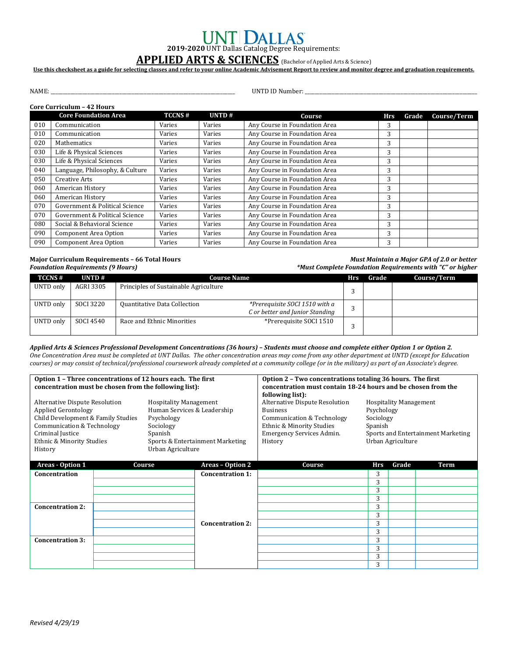# **2019-2020** UNT Dallas Catalog Degree Requirements:

## **APPLIED ARTS & SCIENCES** (Bachelor of Applied Arts & Science)

**Use this checksheet as a guide for selecting classes and refer to your online Academic Advisement Report to review and monitor degree and graduation requirements.**

NAME: \_\_\_\_\_\_\_\_\_\_\_\_\_\_\_\_\_\_\_\_\_\_\_\_\_\_\_\_\_\_\_\_\_\_\_\_\_\_\_\_\_\_\_\_\_\_\_\_\_\_\_\_\_\_\_\_\_\_\_\_\_\_\_\_\_\_\_\_\_\_\_\_\_\_\_ UNTD ID Number: \_\_\_\_\_\_\_\_\_\_\_\_\_\_\_\_\_\_\_\_\_\_\_\_\_\_\_\_\_\_\_\_\_\_\_\_\_\_\_\_\_\_\_\_\_\_\_\_\_\_\_\_\_\_\_\_\_\_\_\_\_\_\_\_\_\_\_\_\_\_

### **Core Curriculum – 42 Hours**

|     | <b>Core Foundation Area</b>     | <b>TCCNS#</b> | UNTD#  | Course                        | <b>Hrs</b> | Grade | Course/Term |
|-----|---------------------------------|---------------|--------|-------------------------------|------------|-------|-------------|
| 010 | Communication                   | Varies        | Varies | Any Course in Foundation Area | 3          |       |             |
| 010 | Communication                   | Varies        | Varies | Any Course in Foundation Area | 3          |       |             |
| 020 | Mathematics                     | Varies        | Varies | Any Course in Foundation Area | 3          |       |             |
| 030 | Life & Physical Sciences        | Varies        | Varies | Any Course in Foundation Area |            |       |             |
| 030 | Life & Physical Sciences        | Varies        | Varies | Any Course in Foundation Area | 3          |       |             |
| 040 | Language, Philosophy, & Culture | Varies        | Varies | Any Course in Foundation Area | 3          |       |             |
| 050 | Creative Arts                   | Varies        | Varies | Any Course in Foundation Area | 3          |       |             |
| 060 | American History                | Varies        | Varies | Any Course in Foundation Area | 3          |       |             |
| 060 | American History                | Varies        | Varies | Any Course in Foundation Area | 3          |       |             |
| 070 | Government & Political Science  | Varies        | Varies | Any Course in Foundation Area | 3          |       |             |
| 070 | Government & Political Science  | Varies        | Varies | Any Course in Foundation Area | 3          |       |             |
| 080 | Social & Behavioral Science     | Varies        | Varies | Any Course in Foundation Area | 3          |       |             |
| 090 | <b>Component Area Option</b>    | Varies        | Varies | Any Course in Foundation Area | 3          |       |             |
| 090 | Component Area Option           | Varies        | Varies | Any Course in Foundation Area | 3          |       |             |

**Major Curriculum Requirements – 66 Total Hours** *Must Maintain a Major GPA of 2.0 or better Foundation Requirements (9 Hours) \*Must Complete Foundation Requirements with "C" or higher*

| <b>TCCNS#</b> | UNTD $#$  | <b>Course Name</b>                    |                                                                   | Hrs | Grade | Course/Term |
|---------------|-----------|---------------------------------------|-------------------------------------------------------------------|-----|-------|-------------|
| UNTD only     | AGRI 3305 | Principles of Sustainable Agriculture |                                                                   | ົ   |       |             |
| UNTD only     | SOCI 3220 | Quantitative Data Collection          | *Prerequisite SOCI 1510 with a<br>C or better and Junior Standing | ◠   |       |             |
| UNTD only     | SOCI 4540 | Race and Ethnic Minorities            | *Prerequisite SOCI 1510                                           |     |       |             |

*Applied Arts & Sciences Professional Development Concentrations (36 hours) – Students must choose and complete either Option 1 or Option 2. One Concentration Area must be completed at UNT Dallas. The other concentration areas may come from any other department at UNTD (except for Education courses) or may consist of technical/professional coursework already completed at a community college (or in the military) as part of an Associate's degree.*

| Option 1 - Three concentrations of 12 hours each. The first<br>concentration must be chosen from the following list):                                                                        |  |                                                                                                                                                             | Option 2 - Two concentrations totaling 36 hours. The first<br>concentration must contain 18-24 hours and be chosen from the<br>following list): |                                                                                                                                                      |                                                                                                                                |       |      |
|----------------------------------------------------------------------------------------------------------------------------------------------------------------------------------------------|--|-------------------------------------------------------------------------------------------------------------------------------------------------------------|-------------------------------------------------------------------------------------------------------------------------------------------------|------------------------------------------------------------------------------------------------------------------------------------------------------|--------------------------------------------------------------------------------------------------------------------------------|-------|------|
| Alternative Dispute Resolution<br><b>Applied Gerontology</b><br>Child Development & Family Studies<br>Communication & Technology<br>Criminal Justice<br>Ethnic & Minority Studies<br>History |  | <b>Hospitality Management</b><br>Human Services & Leadership<br>Psychology<br>Sociology<br>Spanish<br>Sports & Entertainment Marketing<br>Urban Agriculture |                                                                                                                                                 | Alternative Dispute Resolution<br><b>Business</b><br>Communication & Technology<br>Ethnic & Minority Studies<br>Emergency Services Admin.<br>History | <b>Hospitality Management</b><br>Psychology<br>Sociology<br>Spanish<br>Sports and Entertainment Marketing<br>Urban Agriculture |       |      |
| Areas - Option 1                                                                                                                                                                             |  | Course                                                                                                                                                      | Areas - Option 2                                                                                                                                | Course                                                                                                                                               | <b>Hrs</b>                                                                                                                     | Grade | Term |
| Concentration                                                                                                                                                                                |  |                                                                                                                                                             | <b>Concentration 1:</b>                                                                                                                         |                                                                                                                                                      | 3                                                                                                                              |       |      |
|                                                                                                                                                                                              |  |                                                                                                                                                             |                                                                                                                                                 |                                                                                                                                                      | 3                                                                                                                              |       |      |
|                                                                                                                                                                                              |  |                                                                                                                                                             |                                                                                                                                                 |                                                                                                                                                      | 3                                                                                                                              |       |      |
|                                                                                                                                                                                              |  |                                                                                                                                                             |                                                                                                                                                 |                                                                                                                                                      | 3                                                                                                                              |       |      |
| <b>Concentration 2:</b>                                                                                                                                                                      |  |                                                                                                                                                             |                                                                                                                                                 |                                                                                                                                                      | 3                                                                                                                              |       |      |
|                                                                                                                                                                                              |  |                                                                                                                                                             |                                                                                                                                                 |                                                                                                                                                      | 3                                                                                                                              |       |      |
|                                                                                                                                                                                              |  |                                                                                                                                                             | <b>Concentration 2:</b>                                                                                                                         |                                                                                                                                                      | 3                                                                                                                              |       |      |
|                                                                                                                                                                                              |  |                                                                                                                                                             |                                                                                                                                                 |                                                                                                                                                      | 3                                                                                                                              |       |      |
| <b>Concentration 3:</b>                                                                                                                                                                      |  |                                                                                                                                                             |                                                                                                                                                 |                                                                                                                                                      | 3                                                                                                                              |       |      |
|                                                                                                                                                                                              |  |                                                                                                                                                             |                                                                                                                                                 |                                                                                                                                                      | 3                                                                                                                              |       |      |
|                                                                                                                                                                                              |  |                                                                                                                                                             |                                                                                                                                                 |                                                                                                                                                      | 3                                                                                                                              |       |      |
|                                                                                                                                                                                              |  |                                                                                                                                                             |                                                                                                                                                 |                                                                                                                                                      | 3                                                                                                                              |       |      |